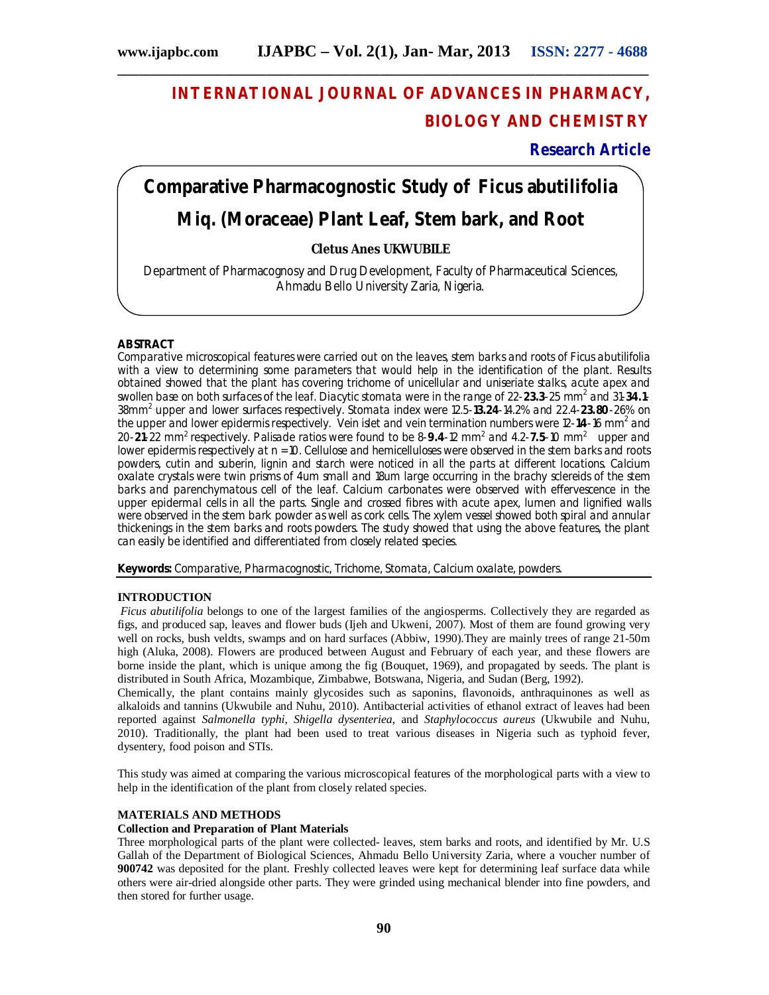# **INTERNATIONAL JOURNAL OF ADVANCES IN PHARMACY, BIOLOGY AND CHEMISTRY**

## **Research Article**

# **Comparative Pharmacognostic Study of** *Ficus abutilifolia* **Miq. (Moraceae) Plant Leaf, Stem bark, and Root**

## **Cletus Anes UKWUBILE**

Department of Pharmacognosy and Drug Development, Faculty of Pharmaceutical Sciences, Ahmadu Bello University Zaria, Nigeria.

## **ABSTRACT**

Comparative microscopical features were carried out on the leaves, stem barks and roots of *Ficus abutilifolia* with a view to determining some parameters that would help in the identification of the plant. Results obtained showed that the plant has covering trichome of unicellular and uniseriate stalks, acute apex and swollen base on both surfaces of the leaf. Diacytic stomata were in the range of 22-23.3-25 mm<sup>2</sup> and 31-34.1-38mm<sup>2</sup> upper and lower surfaces respectively. Stomata index were 12.5-**13.24**-14.2% and 22.4-**23.80**-26% on the upper and lower epidermis respectively. Vein islet and vein termination numbers were 12-14-16 mm<sup>2</sup> and 20-21-22 mm<sup>2</sup> respectively. Palisade ratios were found to be 8-9.4-12 mm<sup>2</sup> and 4.2-7.5-10 mm<sup>2</sup> upper and lower epidermis respectively at n = 10. Cellulose and hemicelluloses were observed in the stem barks and roots powders, cutin and suberin, lignin and starch were noticed in all the parts at different locations. Calcium oxalate crystals were twin prisms of 4um small and 18um large occurring in the brachy sclereids of the stem barks and parenchymatous cell of the leaf. Calcium carbonates were observed with effervescence in the upper epidermal cells in all the parts. Single and crossed fibres with acute apex, lumen and lignified walls were observed in the stem bark powder as well as cork cells. The xylem vessel showed both spiral and annular thickenings in the stem barks and roots powders. The study showed that using the above features, the plant can easily be identified and differentiated from closely related species.

**Keywords:** Comparative, Pharmacognostic, Trichome, Stomata, Calcium oxalate, powders.

## **INTRODUCTION**

*Ficus abutilifolia* belongs to one of the largest families of the angiosperms. Collectively they are regarded as figs, and produced sap, leaves and flower buds (Ijeh and Ukweni, 2007). Most of them are found growing very well on rocks, bush veldts, swamps and on hard surfaces (Abbiw, 1990).They are mainly trees of range 21-50m high (Aluka, 2008). Flowers are produced between August and February of each year, and these flowers are borne inside the plant, which is unique among the fig (Bouquet, 1969), and propagated by seeds. The plant is distributed in South Africa, Mozambique, Zimbabwe, Botswana, Nigeria, and Sudan (Berg, 1992).

Chemically, the plant contains mainly glycosides such as saponins, flavonoids, anthraquinones as well as alkaloids and tannins (Ukwubile and Nuhu, 2010). Antibacterial activities of ethanol extract of leaves had been reported against *Salmonella typhi*, *Shigella dysenteriea*, and *Staphylococcus aureus* (Ukwubile and Nuhu, 2010). Traditionally, the plant had been used to treat various diseases in Nigeria such as typhoid fever, dysentery, food poison and STIs.

This study was aimed at comparing the various microscopical features of the morphological parts with a view to help in the identification of the plant from closely related species.

## **MATERIALS AND METHODS**

## **Collection and Preparation of Plant Materials**

Three morphological parts of the plant were collected- leaves, stem barks and roots, and identified by Mr. U.S Gallah of the Department of Biological Sciences, Ahmadu Bello University Zaria, where a voucher number of **900742** was deposited for the plant. Freshly collected leaves were kept for determining leaf surface data while others were air-dried alongside other parts. They were grinded using mechanical blender into fine powders, and then stored for further usage.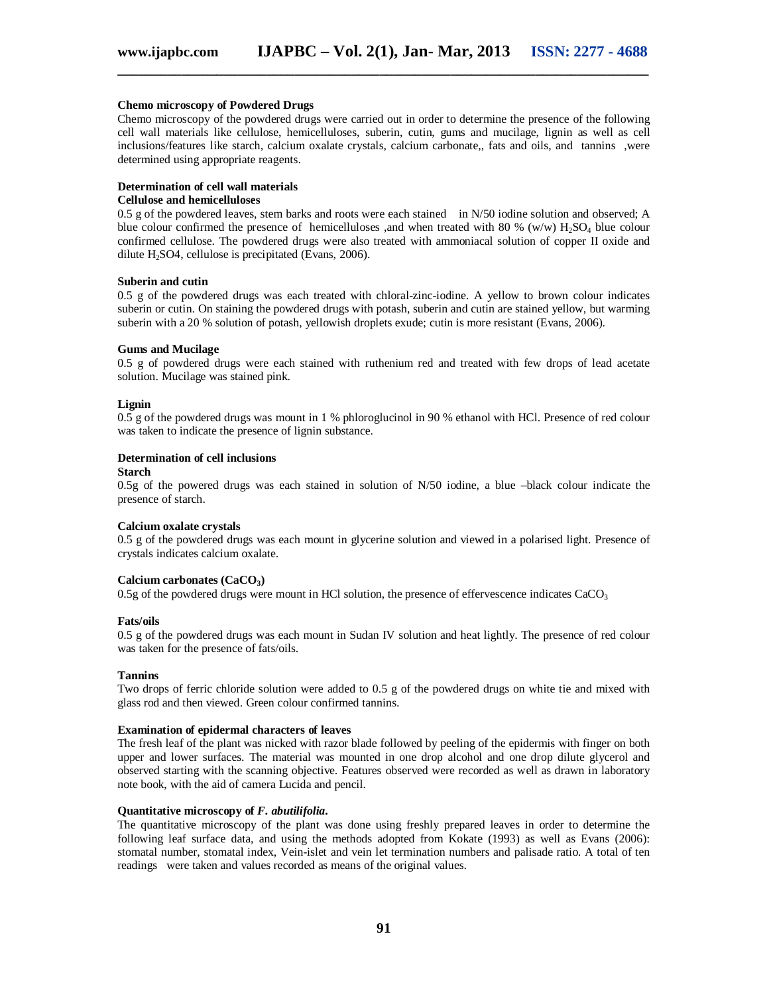#### **Chemo microscopy of Powdered Drugs**

Chemo microscopy of the powdered drugs were carried out in order to determine the presence of the following cell wall materials like cellulose, hemicelluloses, suberin, cutin, gums and mucilage, lignin as well as cell inclusions/features like starch, calcium oxalate crystals, calcium carbonate,, fats and oils, and tannins ,were determined using appropriate reagents.

## **Determination of cell wall materials**

## **Cellulose and hemicelluloses**

0.5 g of the powdered leaves, stem barks and roots were each stained in N/50 iodine solution and observed; A blue colour confirmed the presence of hemicelluloses ,and when treated with 80 % (w/w)  $H_2SO_4$  blue colour confirmed cellulose. The powdered drugs were also treated with ammoniacal solution of copper II oxide and dilute  $H_2$ SO4, cellulose is precipitated (Evans, 2006).

#### **Suberin and cutin**

0.5 g of the powdered drugs was each treated with chloral-zinc-iodine. A yellow to brown colour indicates suberin or cutin. On staining the powdered drugs with potash, suberin and cutin are stained yellow, but warming suberin with a 20 % solution of potash, yellowish droplets exude; cutin is more resistant (Evans, 2006).

#### **Gums and Mucilage**

0.5 g of powdered drugs were each stained with ruthenium red and treated with few drops of lead acetate solution. Mucilage was stained pink.

#### **Lignin**

0.5 g of the powdered drugs was mount in 1 % phloroglucinol in 90 % ethanol with HCl. Presence of red colour was taken to indicate the presence of lignin substance.

#### **Determination of cell inclusions**

#### **Starch**

0.5g of the powered drugs was each stained in solution of N/50 iodine, a blue –black colour indicate the presence of starch.

#### **Calcium oxalate crystals**

0.5 g of the powdered drugs was each mount in glycerine solution and viewed in a polarised light. Presence of crystals indicates calcium oxalate.

#### **Calcium carbonates (CaCO3)**

 $0.5g$  of the powdered drugs were mount in HCl solution, the presence of effervescence indicates CaCO<sub>3</sub>

#### **Fats/oils**

0.5 g of the powdered drugs was each mount in Sudan IV solution and heat lightly. The presence of red colour was taken for the presence of fats/oils.

#### **Tannins**

Two drops of ferric chloride solution were added to 0.5 g of the powdered drugs on white tie and mixed with glass rod and then viewed. Green colour confirmed tannins.

#### **Examination of epidermal characters of leaves**

The fresh leaf of the plant was nicked with razor blade followed by peeling of the epidermis with finger on both upper and lower surfaces. The material was mounted in one drop alcohol and one drop dilute glycerol and observed starting with the scanning objective. Features observed were recorded as well as drawn in laboratory note book, with the aid of camera Lucida and pencil.

#### **Quantitative microscopy of** *F. abutilifolia***.**

The quantitative microscopy of the plant was done using freshly prepared leaves in order to determine the following leaf surface data, and using the methods adopted from Kokate (1993) as well as Evans (2006): stomatal number, stomatal index, Vein-islet and vein let termination numbers and palisade ratio. A total of ten readings were taken and values recorded as means of the original values.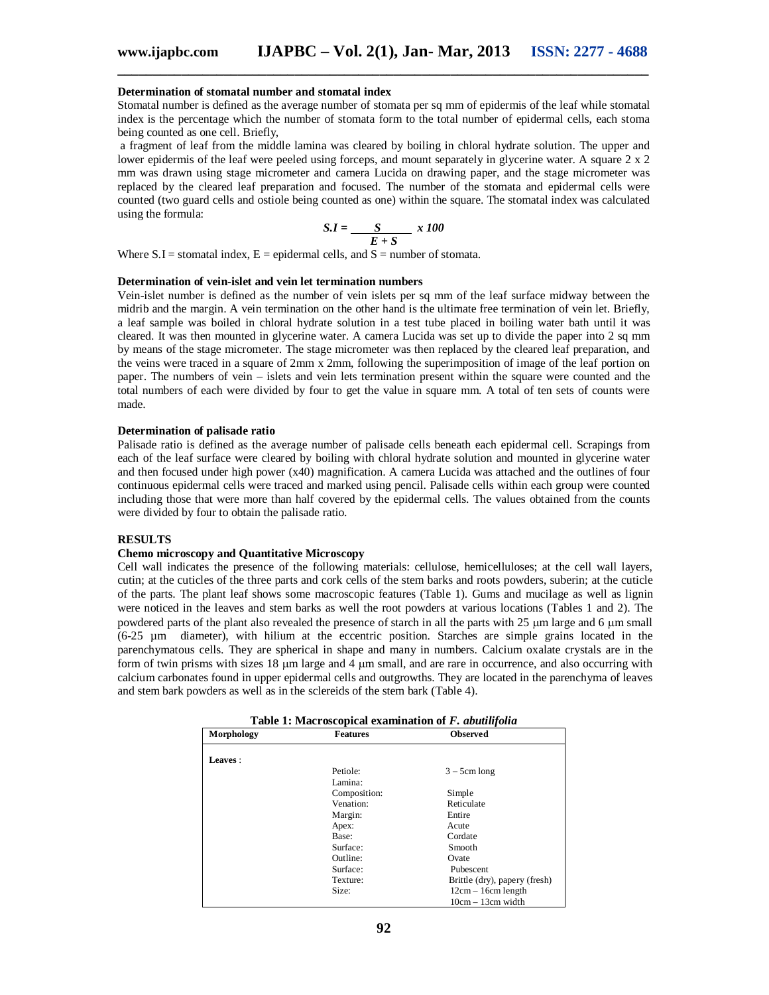#### **Determination of stomatal number and stomatal index**

Stomatal number is defined as the average number of stomata per sq mm of epidermis of the leaf while stomatal index is the percentage which the number of stomata form to the total number of epidermal cells, each stoma being counted as one cell. Briefly,

a fragment of leaf from the middle lamina was cleared by boiling in chloral hydrate solution. The upper and lower epidermis of the leaf were peeled using forceps, and mount separately in glycerine water. A square 2 x 2 mm was drawn using stage micrometer and camera Lucida on drawing paper, and the stage micrometer was replaced by the cleared leaf preparation and focused. The number of the stomata and epidermal cells were counted (two guard cells and ostiole being counted as one) within the square. The stomatal index was calculated using the formula:

$$
S.I = \underline{S} \underline{x} + S \underline{y}
$$

Where  $S.I =$  stomatal index,  $E =$  epidermal cells, and  $S =$  number of stomata.

#### **Determination of vein-islet and vein let termination numbers**

Vein-islet number is defined as the number of vein islets per sq mm of the leaf surface midway between the midrib and the margin. A vein termination on the other hand is the ultimate free termination of vein let. Briefly, a leaf sample was boiled in chloral hydrate solution in a test tube placed in boiling water bath until it was cleared. It was then mounted in glycerine water. A camera Lucida was set up to divide the paper into 2 sq mm by means of the stage micrometer. The stage micrometer was then replaced by the cleared leaf preparation, and the veins were traced in a square of 2mm x 2mm, following the superimposition of image of the leaf portion on paper. The numbers of vein – islets and vein lets termination present within the square were counted and the total numbers of each were divided by four to get the value in square mm. A total of ten sets of counts were made.

#### **Determination of palisade ratio**

Palisade ratio is defined as the average number of palisade cells beneath each epidermal cell. Scrapings from each of the leaf surface were cleared by boiling with chloral hydrate solution and mounted in glycerine water and then focused under high power (x40) magnification. A camera Lucida was attached and the outlines of four continuous epidermal cells were traced and marked using pencil. Palisade cells within each group were counted including those that were more than half covered by the epidermal cells. The values obtained from the counts were divided by four to obtain the palisade ratio.

## **RESULTS**

#### **Chemo microscopy and Quantitative Microscopy**

Cell wall indicates the presence of the following materials: cellulose, hemicelluloses; at the cell wall layers, cutin; at the cuticles of the three parts and cork cells of the stem barks and roots powders, suberin; at the cuticle of the parts. The plant leaf shows some macroscopic features (Table 1). Gums and mucilage as well as lignin were noticed in the leaves and stem barks as well the root powders at various locations (Tables 1 and 2). The powdered parts of the plant also revealed the presence of starch in all the parts with 25 µm large and 6 µm small (6-25 µm diameter), with hilium at the eccentric position. Starches are simple grains located in the parenchymatous cells. They are spherical in shape and many in numbers. Calcium oxalate crystals are in the form of twin prisms with sizes  $18 \mu m$  large and  $4 \mu m$  small, and are rare in occurrence, and also occurring with calcium carbonates found in upper epidermal cells and outgrowths. They are located in the parenchyma of leaves and stem bark powders as well as in the sclereids of the stem bark (Table 4).

| Table 1: Macroscopical examination of F. abutilifolia |                 |                               |  |
|-------------------------------------------------------|-----------------|-------------------------------|--|
| Morphology                                            | <b>Features</b> | <b>Observed</b>               |  |
|                                                       |                 |                               |  |
| Leaves:                                               |                 |                               |  |
|                                                       | Petiole:        | $3 - 5$ cm long               |  |
|                                                       | Lamina:         |                               |  |
|                                                       | Composition:    | Simple                        |  |
|                                                       | Venation:       | Reticulate                    |  |
|                                                       | Margin:         | Entire                        |  |
|                                                       | Apex:           | Acute                         |  |
|                                                       | Base:           | Cordate                       |  |
|                                                       | Surface:        | Smooth                        |  |
|                                                       | Outline:        | Ovate                         |  |
|                                                       | Surface:        | Pubescent                     |  |
|                                                       | Texture:        | Brittle (dry), papery (fresh) |  |
|                                                       | Size:           | $12cm - 16cm$ length          |  |
|                                                       |                 | $10cm - 13cm$ width           |  |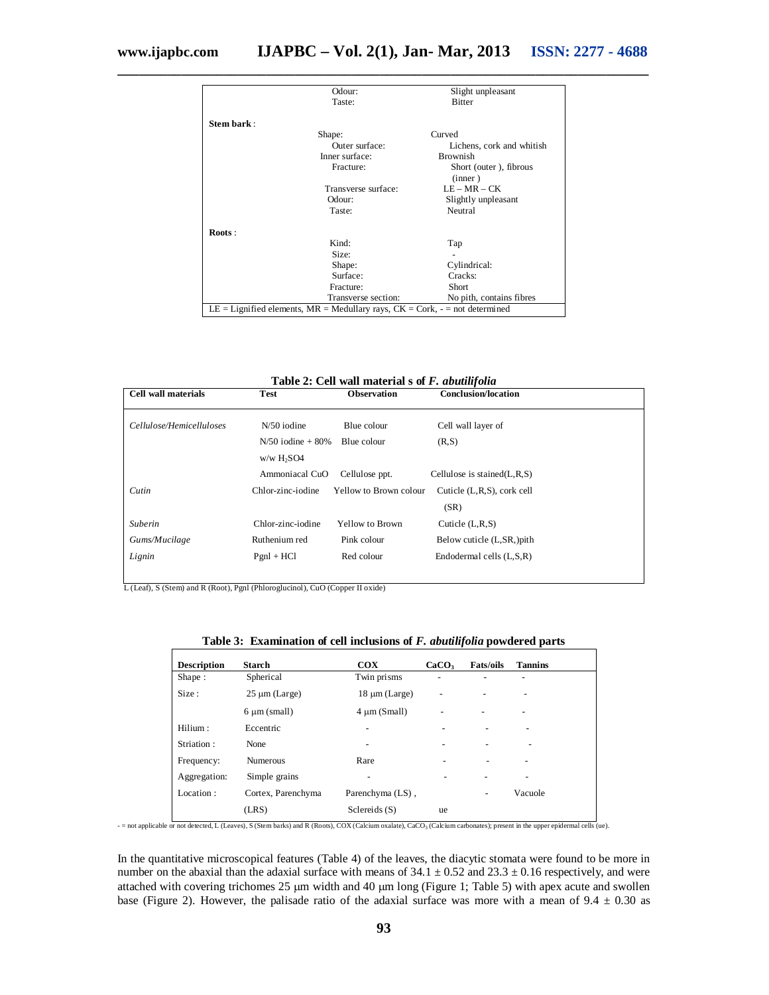|            | Odour:                                                                            | Slight unpleasant                 |
|------------|-----------------------------------------------------------------------------------|-----------------------------------|
|            | Taste:                                                                            | <b>Bitter</b>                     |
| Stem bark: |                                                                                   |                                   |
|            | Shape:                                                                            | Curved                            |
|            | Outer surface:                                                                    | Lichens, cork and whitish         |
|            | Inner surface:                                                                    | <b>Brownish</b>                   |
|            | Fracture:                                                                         | Short (outer), fibrous<br>(inner) |
|            | Transverse surface:                                                               | $LE-MR-CK$                        |
|            | Odour:                                                                            | Slightly unpleasant               |
|            | Taste:                                                                            | Neutral                           |
| Roots:     |                                                                                   |                                   |
|            | Kind:                                                                             | Tap                               |
|            | Size:                                                                             |                                   |
|            | Shape:                                                                            | Cylindrical:                      |
|            | Surface:                                                                          | Cracks:                           |
|            | Fracture:                                                                         | Short                             |
|            | Transverse section:                                                               | No pith, contains fibres          |
|            | LE = Lignified elements, $MR =$ Medullary rays, $CK =$ Cork, $-$ = not determined |                                   |

**\_\_\_\_\_\_\_\_\_\_\_\_\_\_\_\_\_\_\_\_\_\_\_\_\_\_\_\_\_\_\_\_\_\_\_\_\_\_\_\_\_\_\_\_\_\_\_\_\_\_\_\_\_\_\_\_\_\_\_\_\_\_\_\_\_\_\_\_\_\_\_\_\_\_\_**

**Table 2: Cell wall material s of** *F. abutilifolia*

| <b>Cell wall materials</b> | <b>Test</b>            | <b>Observation</b>     | <b>Conclusion/location</b>       |
|----------------------------|------------------------|------------------------|----------------------------------|
|                            |                        |                        |                                  |
| Cellulose/Hemicelluloses   | $N/50$ iodine          | Blue colour            | Cell wall layer of               |
|                            | $N/50$ iodine + 80%    | Blue colour            | (R, S)                           |
|                            | w/w H <sub>2</sub> SO4 |                        |                                  |
|                            | Ammoniacal CuO         | Cellulose ppt.         | Cellulose is stained $(L, R, S)$ |
| Cutin                      | Chlor-zinc-iodine      | Yellow to Brown colour | Cuticle (L,R,S), cork cell       |
|                            |                        |                        | (SR)                             |
| Suberin                    | Chlor-zinc-iodine      | Yellow to Brown        | Cuticle $(L, R, S)$              |
| Gums/Mucilage              | Ruthenium red          | Pink colour            | Below cuticle (L,SR, )pith       |
| Lignin                     | $Pgnl + HCl$           | Red colour             | Endodermal cells $(L, S, R)$     |

L (Leaf), S (Stem) and R (Root), Pgnl (Phloroglucinol), CuO (Copper II oxide)

| <b>Description</b> | Starch             | $\bf{COX}$               | CaCO <sub>3</sub> | <b>Fats/oils</b> | <b>Tannins</b> |
|--------------------|--------------------|--------------------------|-------------------|------------------|----------------|
| Shape:             | Spherical          | Twin prisms              |                   |                  |                |
| Size:              | $25 \mu m$ (Large) | $18 \mu m$ (Large)       |                   |                  |                |
|                    | $6 \mu m$ (small)  | $4 \mu m$ (Small)        |                   |                  |                |
| Hilium:            | Eccentric          | ٠                        |                   |                  |                |
| Striation:         | None               | $\overline{\phantom{a}}$ |                   |                  |                |
| Frequency:         | <b>Numerous</b>    | Rare                     |                   |                  |                |
| Aggregation:       | Simple grains      |                          |                   |                  |                |
| Location:          | Cortex, Parenchyma | Parenchyma (LS),         |                   |                  | Vacuole        |
|                    | (LRS)              | Sclereids(S)             | ue                |                  |                |

- = not applicable or not detected, L (Leaves), S (Stem barks) and R (Roots), COX (Calcium oxalate), CaCO<sub>3</sub> (Calcium carbonates); present in the upper epidermal cells (ue).

In the quantitative microscopical features (Table 4) of the leaves, the diacytic stomata were found to be more in number on the abaxial than the adaxial surface with means of  $34.1 \pm 0.52$  and  $23.3 \pm 0.16$  respectively, and were attached with covering trichomes 25 µm width and 40 µm long (Figure 1; Table 5) with apex acute and swollen base (Figure 2). However, the palisade ratio of the adaxial surface was more with a mean of  $9.4 \pm 0.30$  as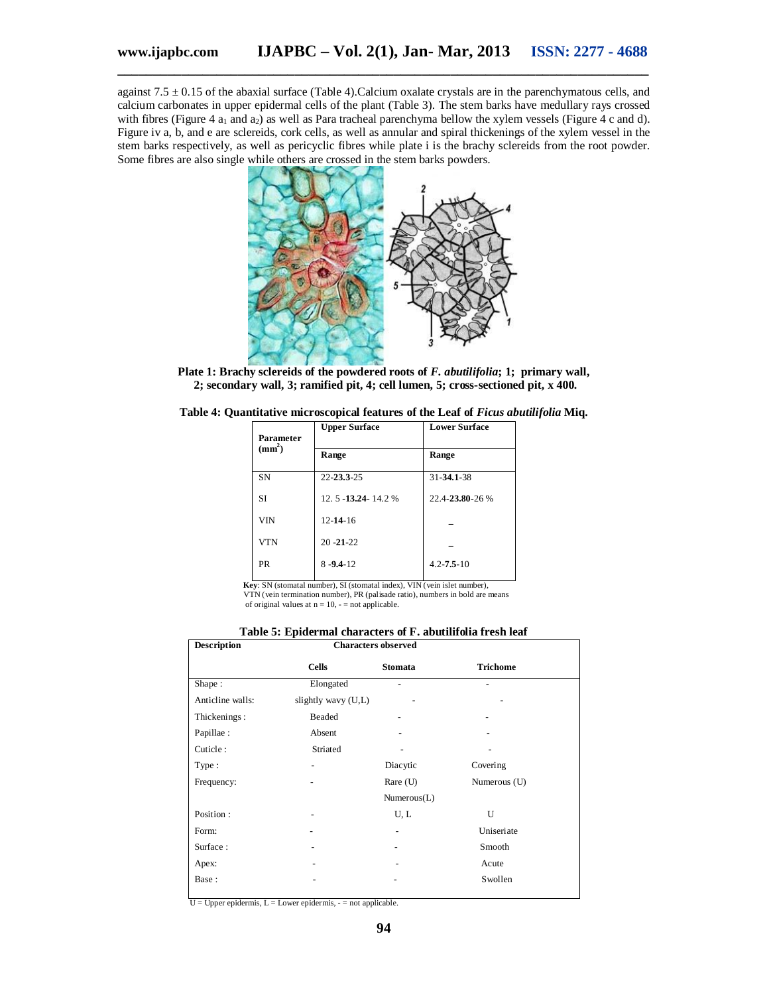against  $7.5 \pm 0.15$  of the abaxial surface (Table 4). Calcium oxalate crystals are in the parenchymatous cells, and calcium carbonates in upper epidermal cells of the plant (Table 3). The stem barks have medullary rays crossed with fibres (Figure 4  $a_1$  and  $a_2$ ) as well as Para tracheal parenchyma bellow the xylem vessels (Figure 4 c and d). Figure iv a, b, and e are sclereids, cork cells, as well as annular and spiral thickenings of the xylem vessel in the stem barks respectively, as well as pericyclic fibres while plate i is the brachy sclereids from the root powder. Some fibres are also single while others are crossed in the stem barks powders.



**Plate 1: Brachy sclereids of the powdered roots of** *F. abutilifolia***; 1; primary wall, 2; secondary wall, 3; ramified pit, 4; cell lumen, 5; cross-sectioned pit, x 400.**

|  | Table 4: Quantitative microscopical features of the Leaf of Ficus abutilifolia Miq. |  |  |  |
|--|-------------------------------------------------------------------------------------|--|--|--|
|  |                                                                                     |  |  |  |

| Parameter          | <b>Upper Surface</b>  | <b>Lower Surface</b> |  |
|--------------------|-----------------------|----------------------|--|
| (mm <sup>2</sup> ) | Range                 | Range                |  |
| <b>SN</b>          | 22-23.3-25            | 31-34.1-38           |  |
| <b>SI</b>          | 12.5 - 13.24 - 14.2 % | 22.4-23.80-26 %      |  |
| <b>VIN</b>         | $12 - 14 - 16$        |                      |  |
| <b>VTN</b>         | $20 - 21 - 22$        |                      |  |
| <b>PR</b>          | $8 - 9.4 - 12$        | $4.2 - 7.5 - 10$     |  |
|                    |                       |                      |  |

 **Key**: SN (stomatal number), SI (stomatal index), VIN (vein islet number), VTN (vein termination number), PR (palisade ratio), numbers in bold are means

of original values at  $n = 10$ ,  $\frac{1}{2}$  not applicable.

**Table 5: Epidermal characters of F. abutilifolia fresh leaf**

| <b>Description</b> | <b>Characters observed</b> |             |                 |
|--------------------|----------------------------|-------------|-----------------|
|                    | <b>Cells</b>               | Stomata     | <b>Trichome</b> |
| Shape:             | Elongated                  | ۰           |                 |
| Anticline walls:   | slightly wavy (U,L)        |             |                 |
| Thickenings:       | Beaded                     |             |                 |
| Papillae:          | Absent                     |             |                 |
| Cuticle:           | Striated                   |             |                 |
| Type:              |                            | Diacytic    | Covering        |
| Frequency:         |                            | Rare $(U)$  | Numerous (U)    |
|                    |                            | Numerous(L) |                 |
| Position:          |                            | U, L        | $\mathbf{U}$    |
| Form:              |                            | ٠           | Uniseriate      |
| Surface:           |                            |             | Smooth          |
| Apex:              |                            |             | Acute           |
| Base:              |                            |             | Swollen         |
|                    |                            |             |                 |

 $U = U$ pper epidermis,  $L =$  Lower epidermis,  $-$  = not applicable.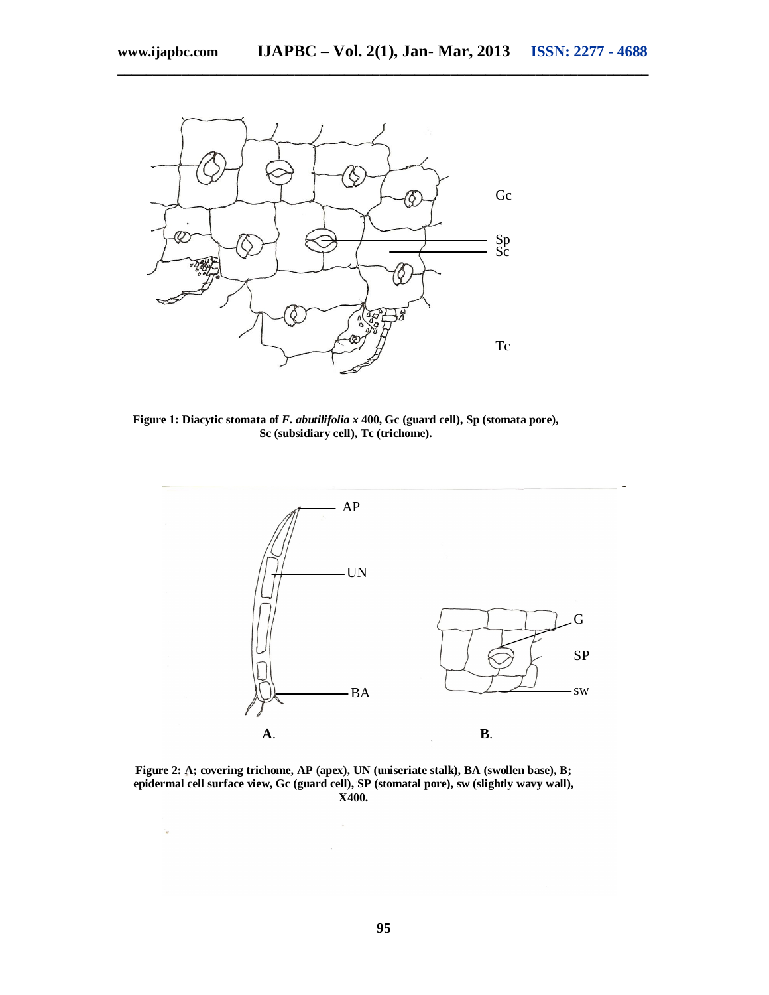**\_\_\_\_\_\_\_\_\_\_\_\_\_\_\_\_\_\_\_\_\_\_\_\_\_\_\_\_\_\_\_\_\_\_\_\_\_\_\_\_\_\_\_\_\_\_\_\_\_\_\_\_\_\_\_\_\_\_\_\_\_\_\_\_\_\_\_\_\_\_\_\_\_\_\_**

 $\tilde{\mathcal{A}}$ 



**Figure 1: Diacytic stomata of** *F. abutilifolia x* **400, Gc (guard cell), Sp (stomata pore), Sc (subsidiary cell), Tc (trichome).**



**Figure 2: A; covering trichome, AP (apex), UN (uniseriate stalk), BA (swollen base), B; epidermal cell surface view, Gc (guard cell), SP (stomatal pore), sw (slightly wavy wall), X400.**

 $\sim$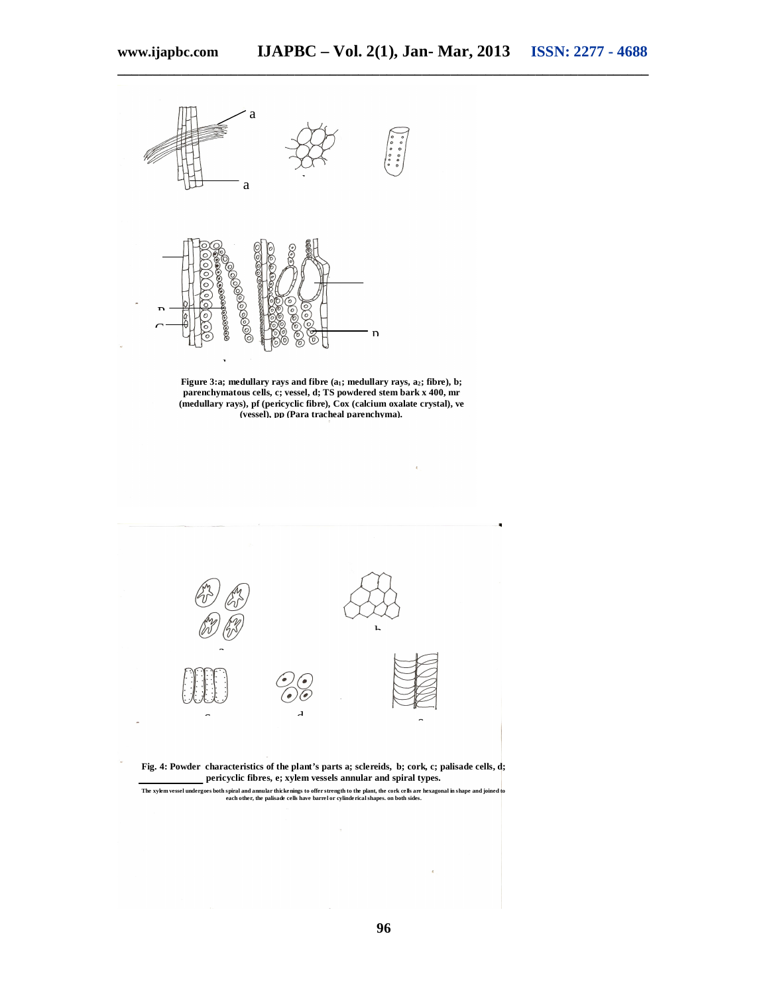**\_\_\_\_\_\_\_\_\_\_\_\_\_\_\_\_\_\_\_\_\_\_\_\_\_\_\_\_\_\_\_\_\_\_\_\_\_\_\_\_\_\_\_\_\_\_\_\_\_\_\_\_\_\_\_\_\_\_\_\_\_\_\_\_\_\_\_\_\_\_\_\_\_\_\_**





**Figure 3:a; medullary rays and fibre (a1; medullary rays, a2; fibre), b; parenchymatous cells, c; vessel, d; TS powdered stem bark x 400, mr (medullary rays), pf (pericyclic fibre), Cox (calcium oxalate crystal), ve (vessel), pp (Para tracheal parenchyma).**



The xylem vessel undergoes both spiral and annular thickenings to offer strength to the plant, the cork cells are hexagonal in shape and joined to<br>each other, the palisade cells have barrel or cylinderical shapes. on both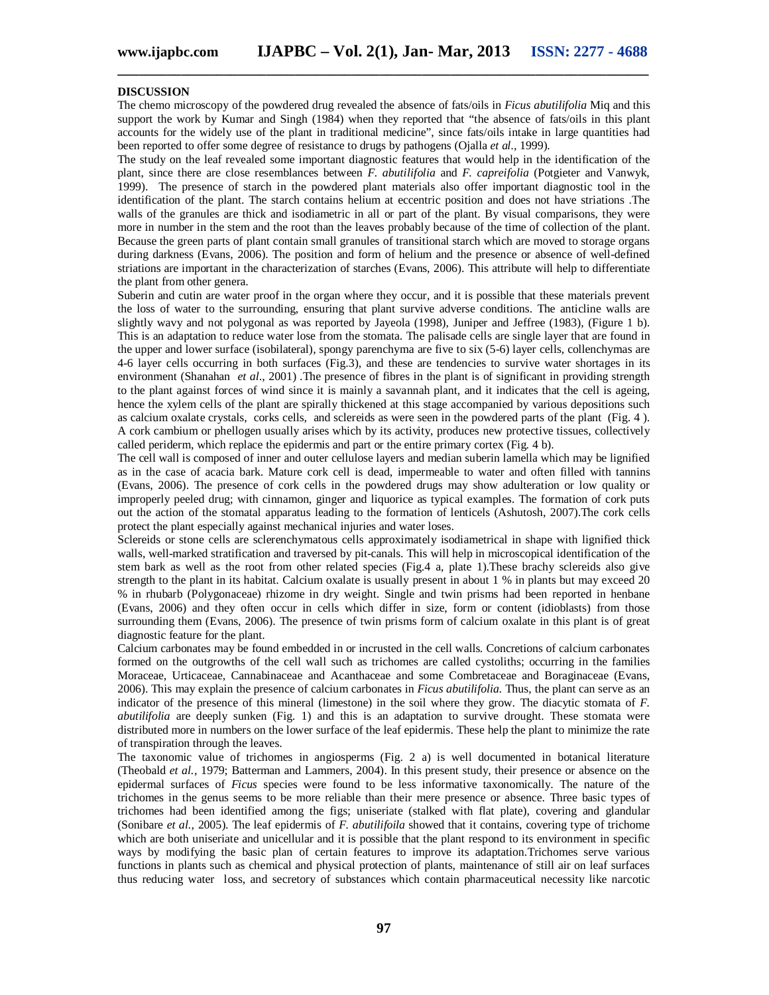## **DISCUSSION**

The chemo microscopy of the powdered drug revealed the absence of fats/oils in *Ficus abutilifolia* Miq and this support the work by Kumar and Singh (1984) when they reported that "the absence of fats/oils in this plant accounts for the widely use of the plant in traditional medicine", since fats/oils intake in large quantities had been reported to offer some degree of resistance to drugs by pathogens (Ojalla *et al.,* 1999).

**\_\_\_\_\_\_\_\_\_\_\_\_\_\_\_\_\_\_\_\_\_\_\_\_\_\_\_\_\_\_\_\_\_\_\_\_\_\_\_\_\_\_\_\_\_\_\_\_\_\_\_\_\_\_\_\_\_\_\_\_\_\_\_\_\_\_\_\_\_\_\_\_\_\_\_**

The study on the leaf revealed some important diagnostic features that would help in the identification of the plant, since there are close resemblances between *F. abutilifolia* and *F. capreifolia* (Potgieter and Vanwyk, 1999). The presence of starch in the powdered plant materials also offer important diagnostic tool in the identification of the plant. The starch contains helium at eccentric position and does not have striations .The walls of the granules are thick and isodiametric in all or part of the plant. By visual comparisons, they were more in number in the stem and the root than the leaves probably because of the time of collection of the plant. Because the green parts of plant contain small granules of transitional starch which are moved to storage organs during darkness (Evans, 2006). The position and form of helium and the presence or absence of well-defined striations are important in the characterization of starches (Evans, 2006). This attribute will help to differentiate the plant from other genera.

Suberin and cutin are water proof in the organ where they occur, and it is possible that these materials prevent the loss of water to the surrounding, ensuring that plant survive adverse conditions. The anticline walls are slightly wavy and not polygonal as was reported by Jayeola (1998), Juniper and Jeffree (1983), (Figure 1 b). This is an adaptation to reduce water lose from the stomata. The palisade cells are single layer that are found in the upper and lower surface (isobilateral), spongy parenchyma are five to six (5-6) layer cells, collenchymas are 4-6 layer cells occurring in both surfaces (Fig.3), and these are tendencies to survive water shortages in its environment (Shanahan *et al*., 2001) .The presence of fibres in the plant is of significant in providing strength to the plant against forces of wind since it is mainly a savannah plant, and it indicates that the cell is ageing, hence the xylem cells of the plant are spirally thickened at this stage accompanied by various depositions such as calcium oxalate crystals, corks cells, and sclereids as were seen in the powdered parts of the plant (Fig. 4 ). A cork cambium or phellogen usually arises which by its activity, produces new protective tissues, collectively called periderm, which replace the epidermis and part or the entire primary cortex (Fig. 4 b).

The cell wall is composed of inner and outer cellulose layers and median suberin lamella which may be lignified as in the case of acacia bark. Mature cork cell is dead, impermeable to water and often filled with tannins (Evans, 2006). The presence of cork cells in the powdered drugs may show adulteration or low quality or improperly peeled drug; with cinnamon, ginger and liquorice as typical examples. The formation of cork puts out the action of the stomatal apparatus leading to the formation of lenticels (Ashutosh, 2007).The cork cells protect the plant especially against mechanical injuries and water loses.

Sclereids or stone cells are sclerenchymatous cells approximately isodiametrical in shape with lignified thick walls, well-marked stratification and traversed by pit-canals. This will help in microscopical identification of the stem bark as well as the root from other related species (Fig.4 a, plate 1).These brachy sclereids also give strength to the plant in its habitat. Calcium oxalate is usually present in about 1 % in plants but may exceed 20 % in rhubarb (Polygonaceae) rhizome in dry weight. Single and twin prisms had been reported in henbane (Evans, 2006) and they often occur in cells which differ in size, form or content (idioblasts) from those surrounding them (Evans, 2006). The presence of twin prisms form of calcium oxalate in this plant is of great diagnostic feature for the plant.

Calcium carbonates may be found embedded in or incrusted in the cell walls. Concretions of calcium carbonates formed on the outgrowths of the cell wall such as trichomes are called cystoliths; occurring in the families Moraceae, Urticaceae, Cannabinaceae and Acanthaceae and some Combretaceae and Boraginaceae (Evans, 2006). This may explain the presence of calcium carbonates in *Ficus abutilifolia*. Thus, the plant can serve as an indicator of the presence of this mineral (limestone) in the soil where they grow. The diacytic stomata of *F. abutilifolia* are deeply sunken (Fig. 1) and this is an adaptation to survive drought. These stomata were distributed more in numbers on the lower surface of the leaf epidermis. These help the plant to minimize the rate of transpiration through the leaves.

The taxonomic value of trichomes in angiosperms (Fig. 2 a) is well documented in botanical literature (Theobald *et al.,* 1979; Batterman and Lammers, 2004). In this present study, their presence or absence on the epidermal surfaces of *Ficus* species were found to be less informative taxonomically. The nature of the trichomes in the genus seems to be more reliable than their mere presence or absence. Three basic types of trichomes had been identified among the figs; uniseriate (stalked with flat plate), covering and glandular (Sonibare *et al.,* 2005). The leaf epidermis of *F. abutilifoila* showed that it contains, covering type of trichome which are both uniseriate and unicellular and it is possible that the plant respond to its environment in specific ways by modifying the basic plan of certain features to improve its adaptation.Trichomes serve various functions in plants such as chemical and physical protection of plants, maintenance of still air on leaf surfaces thus reducing water loss, and secretory of substances which contain pharmaceutical necessity like narcotic